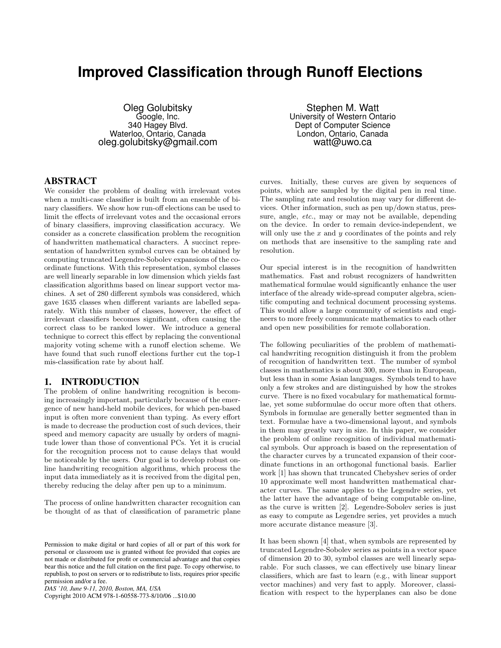# **Improved Classification through Runoff Elections**

Oleg Golubitsky Google, Inc. 340 Hagey Blvd. Waterloo, Ontario, Canada oleg.golubitsky@gmail.com

Stephen M. Watt University of Western Ontario Dept of Computer Science London, Ontario, Canada watt@uwo.ca

# ABSTRACT

We consider the problem of dealing with irrelevant votes when a multi-case classifier is built from an ensemble of binary classifiers. We show how run-off elections can be used to limit the effects of irrelevant votes and the occasional errors of binary classifiers, improving classification accuracy. We consider as a concrete classification problem the recognition of handwritten mathematical characters. A succinct representation of handwritten symbol curves can be obtained by computing truncated Legendre-Sobolev expansions of the coordinate functions. With this representation, symbol classes are well linearly separable in low dimension which yields fast classification algorithms based on linear support vector machines. A set of 280 different symbols was considered, which gave 1635 classes when different variants are labelled separately. With this number of classes, however, the effect of irrelevant classifiers becomes significant, often causing the correct class to be ranked lower. We introduce a general technique to correct this effect by replacing the conventional majority voting scheme with a runoff election scheme. We have found that such runoff elections further cut the top-1 mis-classification rate by about half.

#### 1. INTRODUCTION

The problem of online handwriting recognition is becoming increasingly important, particularly because of the emergence of new hand-held mobile devices, for which pen-based input is often more convenient than typing. As every effort is made to decrease the production cost of such devices, their speed and memory capacity are usually by orders of magnitude lower than those of conventional PCs. Yet it is crucial for the recognition process not to cause delays that would be noticeable by the users. Our goal is to develop robust online handwriting recognition algorithms, which process the input data immediately as it is received from the digital pen, thereby reducing the delay after pen up to a minimum.

The process of online handwritten character recognition can be thought of as that of classification of parametric plane

*DAS '10, June 9-11, 2010, Boston, MA, USA*

Copyright 2010 ACM 978-1-60558-773-8/10/06 ...\$10.00

curves. Initially, these curves are given by sequences of points, which are sampled by the digital pen in real time. The sampling rate and resolution may vary for different devices. Other information, such as pen up/down status, pressure, angle, *etc.*, may or may not be available, depending on the device. In order to remain device-independent, we will only use the  $x$  and  $y$  coordinates of the points and rely on methods that are insensitive to the sampling rate and resolution.

Our special interest is in the recognition of handwritten mathematics. Fast and robust recognizers of handwritten mathematical formulae would significantly enhance the user interface of the already wide-spread computer algebra, scientific computing and technical document processing systems. This would allow a large community of scientists and engineers to more freely communicate mathematics to each other and open new possibilities for remote collaboration.

The following peculiarities of the problem of mathematical handwriting recognition distinguish it from the problem of recognition of handwritten text. The number of symbol classes in mathematics is about 300, more than in European, but less than in some Asian languages. Symbols tend to have only a few strokes and are distinguished by how the strokes curve. There is no fixed vocabulary for mathematical formulae, yet some subformulae do occur more often that others. Symbols in formulae are generally better segmented than in text. Formulae have a two-dimensional layout, and symbols in them may greatly vary in size. In this paper, we consider the problem of online recognition of individual mathematical symbols. Our approach is based on the representation of the character curves by a truncated expansion of their coordinate functions in an orthogonal functional basis. Earlier work [1] has shown that truncated Chebyshev series of order 10 approximate well most handwritten mathematical character curves. The same applies to the Legendre series, yet the latter have the advantage of being computable on-line, as the curve is written [2]. Legendre-Sobolev series is just as easy to compute as Legendre series, yet provides a much more accurate distance measure [3].

It has been shown [4] that, when symbols are represented by truncated Legendre-Sobolev series as points in a vector space of dimension 20 to 30, symbol classes are well linearly separable. For such classes, we can effectively use binary linear classifiers, which are fast to learn (e.g., with linear support vector machines) and very fast to apply. Moreover, classification with respect to the hyperplanes can also be done

Permission to make digital or hard copies of all or part of this work for personal or classroom use is granted without fee provided that copies are not made or distributed for profit or commercial advantage and that copies bear this notice and the full citation on the first page. To copy otherwise, to republish, to post on servers or to redistribute to lists, requires prior specific permission and/or a fee.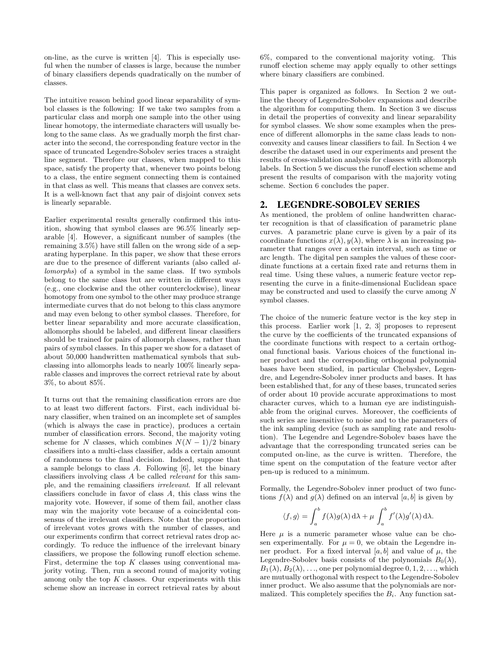on-line, as the curve is written [4]. This is especially useful when the number of classes is large, because the number of binary classifiers depends quadratically on the number of classes.

The intuitive reason behind good linear separability of symbol classes is the following: If we take two samples from a particular class and morph one sample into the other using linear homotopy, the intermediate characters will usually belong to the same class. As we gradually morph the first character into the second, the corresponding feature vector in the space of truncated Legendre-Sobolev series traces a straight line segment. Therefore our classes, when mapped to this space, satisfy the property that, whenever two points belong to a class, the entire segment connecting them is contained in that class as well. This means that classes are convex sets. It is a well-known fact that any pair of disjoint convex sets is linearly separable.

Earlier experimental results generally confirmed this intuition, showing that symbol classes are 96.5% linearly separable [4]. However, a significant number of samples (the remaining 3.5%) have still fallen on the wrong side of a separating hyperplane. In this paper, we show that these errors are due to the presence of different variants (also called allomorphs) of a symbol in the same class. If two symbols belong to the same class but are written in different ways (e.g., one clockwise and the other counterclockwise), linear homotopy from one symbol to the other may produce strange intermediate curves that do not belong to this class anymore and may even belong to other symbol classes. Therefore, for better linear separability and more accurate classification, allomorphs should be labeled, and different linear classifiers should be trained for pairs of allomorph classes, rather than pairs of symbol classes. In this paper we show for a dataset of about 50,000 handwritten mathematical symbols that subclassing into allomorphs leads to nearly 100% linearly separable classes and improves the correct retrieval rate by about 3%, to about 85%.

It turns out that the remaining classification errors are due to at least two different factors. First, each individual binary classifier, when trained on an incomplete set of samples (which is always the case in practice), produces a certain number of classification errors. Second, the majority voting scheme for N classes, which combines  $N(N-1)/2$  binary classifiers into a multi-class classifier, adds a certain amount of randomness to the final decision. Indeed, suppose that a sample belongs to class  $A$ . Following  $[6]$ , let the binary classifiers involving class A be called relevant for this sample, and the remaining classifiers irrelevant. If all relevant classifiers conclude in favor of class A, this class wins the majority vote. However, if some of them fail, another class may win the majority vote because of a coincidental consensus of the irrelevant classifiers. Note that the proportion of irrelevant votes grows with the number of classes, and our experiments confirm that correct retrieval rates drop accordingly. To reduce the influence of the irrelevant binary classifiers, we propose the following runoff election scheme. First, determine the top  $K$  classes using conventional majority voting. Then, run a second round of majority voting among only the top  $K$  classes. Our experiments with this scheme show an increase in correct retrieval rates by about 6%, compared to the conventional majority voting. This runoff election scheme may apply equally to other settings where binary classifiers are combined.

This paper is organized as follows. In Section 2 we outline the theory of Legendre-Sobolev expansions and describe the algorithm for computing them. In Section 3 we discuss in detail the properties of convexity and linear separability for symbol classes. We show some examples when the presence of different allomorphs in the same class leads to nonconvexity and causes linear classifiers to fail. In Section 4 we describe the dataset used in our experiments and present the results of cross-validation analysis for classes with allomorph labels. In Section 5 we discuss the runoff election scheme and present the results of comparison with the majority voting scheme. Section 6 concludes the paper.

#### 2. LEGENDRE-SOBOLEV SERIES

As mentioned, the problem of online handwritten character recognition is that of classification of parametric plane curves. A parametric plane curve is given by a pair of its coordinate functions  $x(\lambda)$ ,  $y(\lambda)$ , where  $\lambda$  is an increasing parameter that ranges over a certain interval, such as time or arc length. The digital pen samples the values of these coordinate functions at a certain fixed rate and returns them in real time. Using these values, a numeric feature vector representing the curve in a finite-dimensional Euclidean space may be constructed and used to classify the curve among  $N$ symbol classes.

The choice of the numeric feature vector is the key step in this process. Earlier work [1, 2, 3] proposes to represent the curve by the coefficients of the truncated expansions of the coordinate functions with respect to a certain orthogonal functional basis. Various choices of the functional inner product and the corresponding orthogonal polynomial bases have been studied, in particular Chebyshev, Legendre, and Legendre-Sobolev inner products and bases. It has been established that, for any of these bases, truncated series of order about 10 provide accurate approximations to most character curves, which to a human eye are indistinguishable from the original curves. Moreover, the coefficients of such series are insensitive to noise and to the parameters of the ink sampling device (such as sampling rate and resolution). The Legendre and Legendre-Sobolev bases have the advantage that the corresponding truncated series can be computed on-line, as the curve is written. Therefore, the time spent on the computation of the feature vector after pen-up is reduced to a minimum.

Formally, the Legendre-Sobolev inner product of two functions  $f(\lambda)$  and  $g(\lambda)$  defined on an interval [a, b] is given by

$$
\langle f, g \rangle = \int_a^b f(\lambda) g(\lambda) d\lambda + \mu \int_a^b f'(\lambda) g'(\lambda) d\lambda.
$$

Here  $\mu$  is a numeric parameter whose value can be chosen experimentally. For  $\mu = 0$ , we obtain the Legendre inner product. For a fixed interval [a, b] and value of  $\mu$ , the Legendre-Sobolev basis consists of the polynomials  $B_0(\lambda)$ ,  $B_1(\lambda), B_2(\lambda), \ldots$ , one per polynomial degree  $0, 1, 2, \ldots$ , which are mutually orthogonal with respect to the Legendre-Sobolev inner product. We also assume that the polynomials are normalized. This completely specifies the  $B_i$ . Any function sat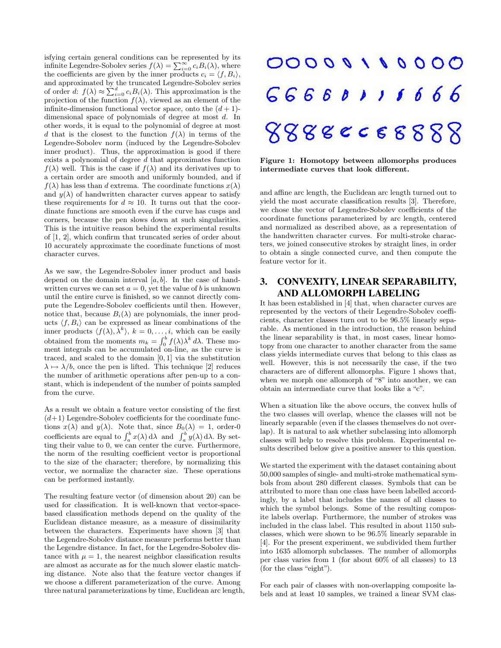isfying certain general conditions can be represented by its infinite Legendre-Sobolev series  $f(\lambda) = \sum_{i=0}^{\infty} c_i B_i(\lambda)$ , where the coefficients are given by the inner products  $c_i = \langle f, B_i \rangle$ , and approximated by the truncated Legendre-Sobolev series of order d:  $f(\lambda) \approx \sum_{i=0}^{d} c_i B_i(\lambda)$ . This approximation is the projection of the function  $f(\lambda)$ , viewed as an element of the infinite-dimension functional vector space, onto the  $(d+1)$ dimensional space of polynomials of degree at most d. In other words, it is equal to the polynomial of degree at most d that is the closest to the function  $f(\lambda)$  in terms of the Legendre-Sobolev norm (induced by the Legendre-Sobolev inner product). Thus, the approximation is good if there exists a polynomial of degree d that approximates function  $f(\lambda)$  well. This is the case if  $f(\lambda)$  and its derivatives up to a certain order are smooth and uniformly bounded, and if  $f(\lambda)$  has less than d extrema. The coordinate functions  $x(\lambda)$ and  $y(\lambda)$  of handwritten character curves appear to satisfy these requirements for  $d \approx 10$ . It turns out that the coordinate functions are smooth even if the curve has cusps and corners, because the pen slows down at such singularities. This is the intuitive reason behind the experimental results of [1, 2], which confirm that truncated series of order about 10 accurately approximate the coordinate functions of most character curves.

As we saw, the Legendre-Sobolev inner product and basis depend on the domain interval  $[a, b]$ . In the case of handwritten curves we can set  $a = 0$ , yet the value of b is unknown until the entire curve is finished, so we cannot directly compute the Legendre-Sobolev coefficients until then. However, notice that, because  $B_i(\lambda)$  are polynomials, the inner products  $\langle f, B_i \rangle$  can be expressed as linear combinations of the inner products  $\langle f(\lambda), \lambda^k \rangle, k = 0, \ldots, i$ , which can be easily obtained from the moments  $m_k = \int_0^b f(\lambda) \lambda^k d\lambda$ . These moment integrals can be accumulated on-line, as the curve is traced, and scaled to the domain [0, 1] via the substitution  $\lambda \mapsto \lambda/b$ , once the pen is lifted. This technique [2] reduces the number of arithmetic operations after pen-up to a constant, which is independent of the number of points sampled from the curve.

As a result we obtain a feature vector consisting of the first  $(d+1)$  Legendre-Sobolev coefficients for the coordinate functions  $x(\lambda)$  and  $y(\lambda)$ . Note that, since  $B_0(\lambda) = 1$ , order-0 coefficients are equal to  $\int_a^b x(\lambda) d\lambda$  and  $\int_a^b y(\lambda) d\lambda$ . By setting their value to 0, we can center the curve. Furthermore, the norm of the resulting coefficient vector is proportional to the size of the character; therefore, by normalizing this vector, we normalize the character size. These operations can be performed instantly.

The resulting feature vector (of dimension about 20) can be used for classification. It is well-known that vector-spacebased classification methods depend on the quality of the Euclidean distance measure, as a measure of dissimilarity between the characters. Experiments have shown [3] that the Legendre-Sobolev distance measure performs better than the Legendre distance. In fact, for the Legendre-Sobolev distance with  $\mu = 1$ , the nearest neighbor classification results are almost as accurate as for the much slower elastic matching distance. Note also that the feature vector changes if we choose a different parameterization of the curve. Among three natural parameterizations by time, Euclidean arc length,

# 0000110000 66660116666 88880068888

Figure 1: Homotopy between allomorphs produces intermediate curves that look different.

and affine arc length, the Euclidean arc length turned out to yield the most accurate classification results [3]. Therefore, we chose the vector of Legendre-Sobolev coefficients of the coordinate functions parameterized by arc length, centered and normalized as described above, as a representation of the handwritten character curves. For multi-stroke characters, we joined consecutive strokes by straight lines, in order to obtain a single connected curve, and then compute the feature vector for it.

# 3. CONVEXITY, LINEAR SEPARABILITY, AND ALLOMORPH LABELING

It has been established in [4] that, when character curves are represented by the vectors of their Legendre-Sobolev coefficients, character classes turn out to be 96.5% linearly separable. As mentioned in the introduction, the reason behind the linear separability is that, in most cases, linear homotopy from one character to another character from the same class yields intermediate curves that belong to this class as well. However, this is not necessarily the case, if the two characters are of different allomorphs. Figure 1 shows that, when we morph one allomorph of "8" into another, we can obtain an intermediate curve that looks like a "c".

When a situation like the above occurs, the convex hulls of the two classes will overlap, whence the classes will not be linearly separable (even if the classes themselves do not overlap). It is natural to ask whether subclassing into allomorph classes will help to resolve this problem. Experimental results described below give a positive answer to this question.

We started the experiment with the dataset containing about 50,000 samples of single- and multi-stroke mathematical symbols from about 280 different classes. Symbols that can be attributed to more than one class have been labelled accordingly, by a label that includes the names of all classes to which the symbol belongs. Some of the resulting composite labels overlap. Furthermore, the number of strokes was included in the class label. This resulted in about 1150 subclasses, which were shown to be 96.5% linearly separable in [4]. For the present experiment, we subdivided them further into 1635 allomorph subclasses. The number of allomorphs per class varies from 1 (for about 60% of all classes) to 13 (for the class "eight").

For each pair of classes with non-overlapping composite labels and at least 10 samples, we trained a linear SVM clas-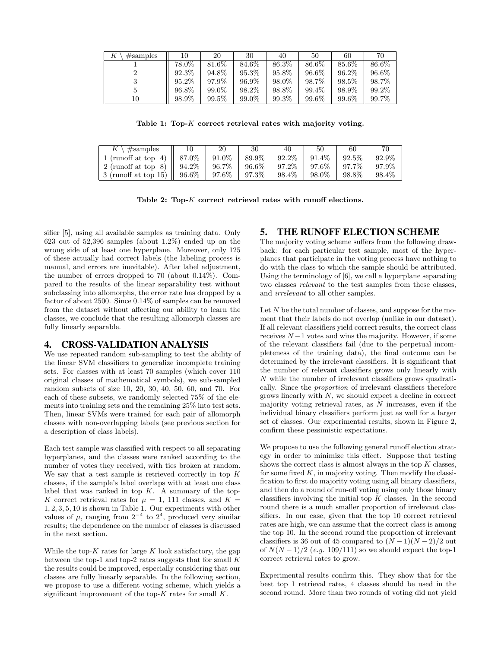| #samples<br>K | 10       | 20       | 30       | 40       | 50       | 60       | 70    |
|---------------|----------|----------|----------|----------|----------|----------|-------|
|               | 78.0%    | 81.6%    | 84.6%    | 86.3%    | 86.6%    | 85.6%    | 86.6% |
|               | 92.3%    | 94.8%    | 95.3%    | $95.8\%$ | $96.6\%$ | $96.2\%$ | 96.6% |
| 3             | $95.2\%$ | 97.9%    | $96.9\%$ | $98.0\%$ | 98.7%    | 98.5%    | 98.7% |
| Ð             | 96.8%    | 99.0%    | 98.2%    | 98.8%    | 99.4%    | 98.9%    | 99.2% |
| 10            | 98.9%    | $99.5\%$ | 99.0%    | 99.3%    | 99.6%    | 99.6%    | 99.7% |

Table 1: Top-K correct retrieval rates with majority voting.

| $\land$ #samples<br>$K \setminus$ |          | 20    | 30    | 40       | 50       | 60       |          |
|-----------------------------------|----------|-------|-------|----------|----------|----------|----------|
| 1 (runoff at top 4)   87.0\%      |          | 91.0% | 89.9% | $92.2\%$ | $91.4\%$ | $92.5\%$ | $92.9\%$ |
| 2 (runoff at top $8$ )            | $94.2\%$ | 96.7% | 96.6% | $97.2\%$ | $97.6\%$ | 97.7%    | 97.9%    |
| 3 (runoff at top 15) $\parallel$  | $96.6\%$ | 97.6% | 97.3% | 98.4%    | 98.0%    | 98.8%    | 98.4%    |

Table 2: Top-K correct retrieval rates with runoff elections.

sifier [5], using all available samples as training data. Only 623 out of 52,396 samples (about 1.2%) ended up on the wrong side of at least one hyperplane. Moreover, only 125 of these actually had correct labels (the labeling process is manual, and errors are inevitable). After label adjustment, the number of errors dropped to 70 (about 0.14%). Compared to the results of the linear separability test without subclassing into allomorphs, the error rate has dropped by a factor of about 2500. Since 0.14% of samples can be removed from the dataset without affecting our ability to learn the classes, we conclude that the resulting allomorph classes are fully linearly separable.

#### 4. CROSS-VALIDATION ANALYSIS

We use repeated random sub-sampling to test the ability of the linear SVM classifiers to generalize incomplete training sets. For classes with at least 70 samples (which cover 110 original classes of mathematical symbols), we sub-sampled random subsets of size 10, 20, 30, 40, 50, 60, and 70. For each of these subsets, we randomly selected 75% of the elements into training sets and the remaining 25% into test sets. Then, linear SVMs were trained for each pair of allomorph classes with non-overlapping labels (see previous section for a description of class labels).

Each test sample was classified with respect to all separating hyperplanes, and the classes were ranked according to the number of votes they received, with ties broken at random. We say that a test sample is retrieved correctly in top  $K$ classes, if the sample's label overlaps with at least one class label that was ranked in top  $K$ . A summary of the top-K correct retrieval rates for  $\mu = 1$ , 111 classes, and  $K =$ 1, 2, 3, 5, 10 is shown in Table 1. Our experiments with other values of  $\mu$ , ranging from  $2^{-4}$  to  $2^4$ , produced very similar results; the dependence on the number of classes is discussed in the next section.

While the top- $K$  rates for large  $K$  look satisfactory, the gap between the top-1 and top-2 rates suggests that for small  $K$ the results could be improved, especially considering that our classes are fully linearly separable. In the following section, we propose to use a different voting scheme, which yields a significant improvement of the top- $K$  rates for small  $K$ .

## 5. THE RUNOFF ELECTION SCHEME

The majority voting scheme suffers from the following drawback: for each particular test sample, most of the hyperplanes that participate in the voting process have nothing to do with the class to which the sample should be attributed. Using the terminology of [6], we call a hyperplane separating two classes relevant to the test samples from these classes, and irrelevant to all other samples.

Let  $N$  be the total number of classes, and suppose for the moment that their labels do not overlap (unlike in our dataset). If all relevant classifiers yield correct results, the correct class receives  $N-1$  votes and wins the majority. However, if some of the relevant classifiers fail (due to the perpetual incompleteness of the training data), the final outcome can be determined by the irrelevant classifiers. It is significant that the number of relevant classifiers grows only linearly with  $N$  while the number of irrelevant classifiers grows quadratically. Since the proportion of irrelevant classifiers therefore grows linearly with N, we should expect a decline in correct majority voting retrieval rates, as  $N$  increases, even if the individual binary classifiers perform just as well for a larger set of classes. Our experimental results, shown in Figure 2, confirm these pessimistic expectations.

We propose to use the following general runoff election strategy in order to minimize this effect. Suppose that testing shows the correct class is almost always in the top  $K$  classes, for some fixed  $K$ , in majority voting. Then modify the classification to first do majority voting using all binary classifiers, and then do a round of run-off voting using only those binary classifiers involving the initial top  $K$  classes. In the second round there is a much smaller proportion of irrelevant classifiers. In our case, given that the top 10 correct retrieval rates are high, we can assume that the correct class is among the top 10. In the second round the proportion of irrelevant classifiers is 36 out of 45 compared to  $(N-1)(N-2)/2$  out of  $N(N-1)/2$  (e.g. 109/111) so we should expect the top-1 correct retrieval rates to grow.

Experimental results confirm this. They show that for the best top 1 retrieval rates, 4 classes should be used in the second round. More than two rounds of voting did not yield